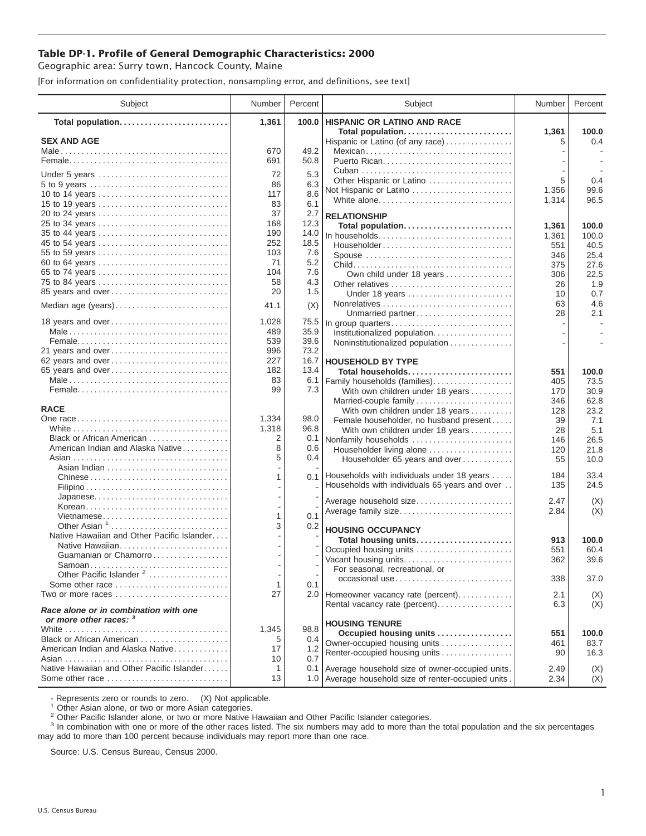## **Table DP-1. Profile of General Demographic Characteristics: 2000**

Geographic area: Surry town, Hancock County, Maine

[For information on confidentiality protection, nonsampling error, and definitions, see text]

| Subject                                                         | Number       | Percent      | Subject                                                       | Number    | Percent      |
|-----------------------------------------------------------------|--------------|--------------|---------------------------------------------------------------|-----------|--------------|
| Total population                                                | 1,361        | 100.0        | <b>HISPANIC OR LATINO AND RACE</b>                            |           |              |
| <b>SEX AND AGE</b>                                              |              |              | Total population<br>Hispanic or Latino (of any race)          | 1,361     | 100.0<br>0.4 |
|                                                                 | 670          | 49.2         | Mexican                                                       |           |              |
|                                                                 | 691          | 50.8         |                                                               |           |              |
|                                                                 | 72           | 5.3          |                                                               |           |              |
| Under 5 years<br>5 to 9 years                                   | 86           | 6.3          | Other Hispanic or Latino                                      | 5         | 0.4          |
| 10 to 14 years                                                  | 117          | 8.6          | Not Hispanic or Latino                                        | 1,356     | 99.6         |
| 15 to 19 years                                                  | 83           | 6.1          | White alone                                                   | 1,314     | 96.5         |
| 20 to 24 years                                                  | 37           | 2.7          | <b>RELATIONSHIP</b>                                           |           |              |
| 25 to 34 years                                                  | 168          | 12.3         | Total population                                              | 1,361     | 100.0        |
| 35 to 44 years                                                  | 190          | 14.0         | In households                                                 | 1,361     | 100.0        |
| 45 to 54 years                                                  | 252          | 18.5         | Householder                                                   | 551       | 40.5         |
| 55 to 59 years                                                  | 103          | 7.6          | Spouse                                                        | 346       | 25.4         |
| 60 to 64 years                                                  | 71           | 5.2          |                                                               | 375       | 27.6         |
| 65 to 74 years                                                  | 104          | 7.6          | Own child under 18 years                                      | 306       | 22.5         |
| 75 to 84 years                                                  | 58           | 4.3          | Other relatives                                               | 26        | 1.9          |
| 85 years and over                                               | 20           | 1.5          | Under 18 years                                                | 10        | 0.7          |
| Median age (years)                                              | 41.1         | (X)          |                                                               | 63        | 4.6          |
|                                                                 |              |              | Unmarried partner                                             | 28        | 2.1          |
| 18 years and over                                               | 1,028<br>489 | 75.5<br>35.9 | In group quarters                                             |           |              |
|                                                                 | 539          | 39.6         | Institutionalized population                                  |           |              |
| 21 years and over                                               | 996          | 73.2         | Noninstitutionalized population                               |           |              |
| 62 years and over                                               | 227          | 16.7         | <b>HOUSEHOLD BY TYPE</b>                                      |           |              |
| 65 years and over                                               | 182          | 13.4         | Total households                                              | 551       | 100.0        |
|                                                                 | 83           | 6.1          | Family households (families)                                  | 405       | 73.5         |
|                                                                 | 99           | 7.3          | With own children under 18 years                              | 170       | 30.9         |
|                                                                 |              |              | Married-couple family                                         | 346       | 62.8         |
| <b>RACE</b>                                                     |              |              | With own children under 18 years                              | 128       | 23.2         |
|                                                                 | 1,334        | 98.0         | Female householder, no husband present                        | 39        | 7.1          |
|                                                                 | 1,318        | 96.8         | With own children under 18 years                              | 28        | 5.1          |
| Black or African American                                       | 2            | 0.1          | Nonfamily households                                          | 146       | 26.5         |
| American Indian and Alaska Native                               | 8            | 0.6          | Householder living alone                                      | 120       | 21.8         |
|                                                                 | 5            | 0.4          | Householder 65 years and over                                 | 55        | 10.0         |
|                                                                 |              | 0.1          | Households with individuals under 18 years                    | 184       | 33.4         |
|                                                                 |              |              | Households with individuals 65 years and over                 | 135       | 24.5         |
|                                                                 |              |              |                                                               |           |              |
| Korean                                                          |              |              | Average household size                                        | 2.47      | (X)          |
| Vietnamese                                                      | 1            | 0.1          | Average family size                                           | 2.84      | (X)          |
| Other Asian 1                                                   | 3            | 0.2          | <b>HOUSING OCCUPANCY</b>                                      |           |              |
| Native Hawaiian and Other Pacific Islander                      |              |              | Total housing units                                           | 913       | 100.0        |
| Native Hawaiian                                                 |              |              | Occupied housing units                                        | 551       | 60.4         |
| Guamanian or Chamorro                                           |              |              | Vacant housing units                                          | 362       | 39.6         |
| Samoan                                                          |              |              | For seasonal, recreational, or                                |           |              |
| Other Pacific Islander <sup>2</sup>                             |              |              | occasional use                                                | 338       | 37.0         |
| Some other race                                                 | $\mathbf{1}$ | 0.1          |                                                               |           |              |
| Two or more races                                               | 27           |              | 2.0 Homeowner vacancy rate (percent)                          | 2.1       | (X)          |
| Race alone or in combination with one<br>or more other races: 3 |              |              | Rental vacancy rate (percent)                                 | 6.3       | (X)          |
|                                                                 | 1,345        | 98.8         | <b>HOUSING TENURE</b>                                         |           |              |
| Black or African American                                       | 5            | 0.4          | Occupied housing units                                        | 551       | 100.0        |
| American Indian and Alaska Native                               | 17           | 1.2          | Owner-occupied housing units<br>Renter-occupied housing units | 461<br>90 | 83.7<br>16.3 |
|                                                                 | 10           | 0.7          |                                                               |           |              |
| Native Hawaiian and Other Pacific Islander                      | -1           | 0.1          | Average household size of owner-occupied units.               | 2.49      | (X)          |
| Some other race                                                 | 13           |              | 1.0 Average household size of renter-occupied units.          | 2.34      | (X)          |

- Represents zero or rounds to zero. (X) Not applicable.<br><sup>1</sup> Other Asian alone, or two or more Asian categories.

<sup>2</sup> Other Pacific Islander alone, or two or more Native Hawaiian and Other Pacific Islander categories.<br><sup>3</sup> In combination with one or more of the other races listed. The six numbers may add to more than the total populati may add to more than 100 percent because individuals may report more than one race.

Source: U.S. Census Bureau, Census 2000.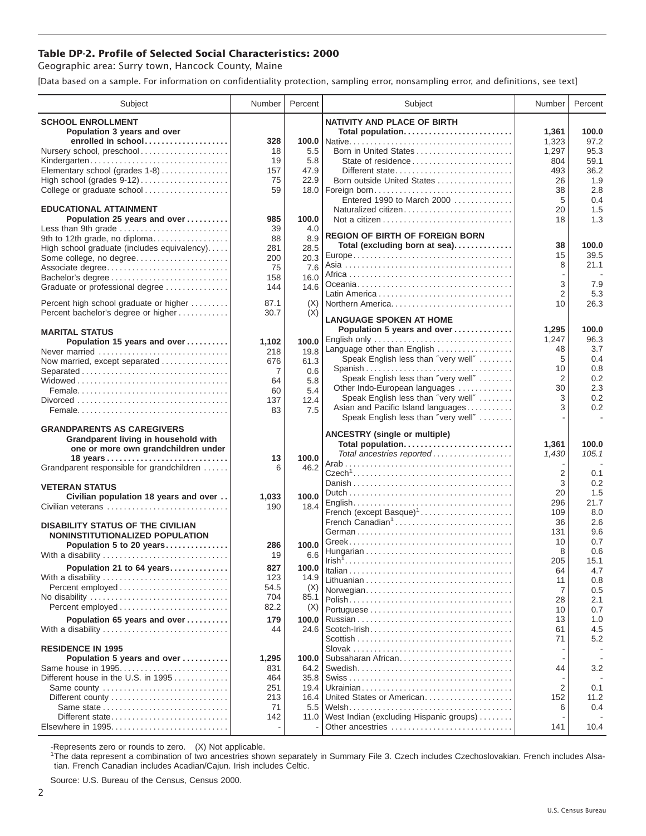## **Table DP-2. Profile of Selected Social Characteristics: 2000**

Geographic area: Surry town, Hancock County, Maine

[Data based on a sample. For information on confidentiality protection, sampling error, nonsampling error, and definitions, see text]

| Subject                                                     | Number         | Percent       | Subject                                           | Number         | Percent     |
|-------------------------------------------------------------|----------------|---------------|---------------------------------------------------|----------------|-------------|
| <b>SCHOOL ENROLLMENT</b>                                    |                |               | <b>NATIVITY AND PLACE OF BIRTH</b>                |                |             |
| Population 3 years and over                                 |                |               | Total population                                  | 1,361          | 100.0       |
| enrolled in school                                          | 328            |               |                                                   | 1,323          | 97.2        |
| Nursery school, preschool                                   | 18             | 5.5           | Born in United States                             | 1,297          | 95.3        |
| Kindergarten                                                | 19             | 5.8           | State of residence                                | 804            | 59.1        |
| Elementary school (grades 1-8)                              | 157<br>75      | 47.9<br>22.9  | Different state                                   | 493            | 36.2<br>1.9 |
| College or graduate school                                  | 59             |               | Born outside United States<br>18.0   Foreign born | 26<br>38       | 2.8         |
|                                                             |                |               | Entered 1990 to March 2000                        | 5              | 0.4         |
| <b>EDUCATIONAL ATTAINMENT</b>                               |                |               | Naturalized citizen                               | 20             | 1.5         |
| Population 25 years and over                                | 985            | 100.0         |                                                   | 18             | 1.3         |
| Less than 9th grade                                         | 39             | 4.0           | <b>REGION OF BIRTH OF FOREIGN BORN</b>            |                |             |
| 9th to 12th grade, no diploma                               | 88             | 8.9           | Total (excluding born at sea)                     | 38             | 100.0       |
| High school graduate (includes equivalency)                 | 281            | 28.5          |                                                   | 15             | 39.5        |
| Some college, no degree<br>Associate degree                 | 200<br>75      | 20.3<br>7.6   |                                                   | 8              | 21.1        |
| Bachelor's degree                                           | 158            | 16.0          |                                                   |                |             |
| Graduate or professional degree                             | 144            | 14.6          |                                                   | 3              | 7.9         |
|                                                             |                |               |                                                   | $\overline{2}$ | 5.3         |
| Percent high school graduate or higher                      | 87.1           | (X)           | Northern America                                  | 10             | 26.3        |
| Percent bachelor's degree or higher                         | 30.7           | (X)           | <b>LANGUAGE SPOKEN AT HOME</b>                    |                |             |
| <b>MARITAL STATUS</b>                                       |                |               | Population 5 years and over                       | 1,295          | 100.0       |
| Population 15 years and over                                | 1,102          | 100.0         | English only                                      | 1,247          | 96.3        |
| Never married                                               | 218            | 19.8          | Language other than English                       | 48             | 3.7         |
| Now married, except separated                               | 676            | 61.3          | Speak English less than "very well"               | 5              | 0.4         |
| Separated                                                   | $\overline{7}$ | 0.6           | Spanish<br>Speak English less than "very well"    | 10<br>2        | 0.8<br>0.2  |
|                                                             | 64             | 5.8           | Other Indo-European languages                     | 30             | 2.3         |
|                                                             | 60<br>137      | 5.4<br>12.4   | Speak English less than "very well"               | 3              | 0.2         |
|                                                             | 83             | 7.5           | Asian and Pacific Island languages                | 3              | 0.2         |
|                                                             |                |               | Speak English less than "very well"               |                | $\sim$      |
| <b>GRANDPARENTS AS CAREGIVERS</b>                           |                |               | <b>ANCESTRY (single or multiple)</b>              |                |             |
| Grandparent living in household with                        |                |               | Total population                                  | 1,361          | 100.0       |
| one or more own grandchildren under                         |                |               | Total ancestries reported                         | 1,430          | 105.1       |
| Grandparent responsible for grandchildren                   | 13<br>6        | 100.0<br>46.2 |                                                   |                |             |
|                                                             |                |               |                                                   | $\overline{2}$ | 0.1         |
| <b>VETERAN STATUS</b>                                       |                |               |                                                   | 3              | 0.2         |
| Civilian population 18 years and over                       | 1,033          | 100.0         |                                                   | 20             | 1.5         |
| Civilian veterans                                           | 190            | 18.4          | French (except Basque) <sup>1</sup>               | 296<br>109     | 21.7<br>8.0 |
|                                                             |                |               | French Canadian <sup>1</sup>                      | 36             | 2.6         |
| <b>DISABILITY STATUS OF THE CIVILIAN</b>                    |                |               |                                                   | 131            | 9.6         |
| NONINSTITUTIONALIZED POPULATION<br>Population 5 to 20 years | 286            | 100.0         |                                                   | 10             | 0.7         |
| With a disability                                           | 19             | 6.6           |                                                   | 8              | 0.6         |
| Population 21 to 64 years                                   | 827            | 100.0         |                                                   | 205            | 15.1        |
| With a disability                                           | 123            | 14.9          |                                                   | 64             | 4.7         |
|                                                             | 54.5           | (X)           |                                                   | 11             | 0.8         |
| No disability                                               | 704            | 85.1          | Norwegian                                         | 7<br>28        | 0.5<br>2.1  |
| Percent employed                                            | 82.2           | (X)           |                                                   | 10             | 0.7         |
| Population 65 years and over                                | 179            | 100.0         |                                                   | 13             | 1.0         |
| With a disability                                           | 44             | 24.6          |                                                   | 61             | 4.5         |
|                                                             |                |               |                                                   | 71             | 5.2         |
| <b>RESIDENCE IN 1995</b>                                    |                |               |                                                   |                |             |
| Population 5 years and over                                 | 1,295          | 100.0         | Subsaharan African                                |                |             |
| Same house in 1995<br>Different house in the U.S. in 1995   | 831<br>464     | 64.2<br>35.8  |                                                   | 44             | 3.2         |
| Same county                                                 | 251            | 19.4          |                                                   | 2              | 0.1         |
|                                                             | 213            | 16.4          | United States or American                         | 152            | 11.2        |
|                                                             | 71             | 5.5           |                                                   | 6              | 0.4         |
| Different state                                             | 142            | 11.0          | West Indian (excluding Hispanic groups)           |                |             |
|                                                             |                |               | Other ancestries                                  | 141            | 10.4        |

-Represents zero or rounds to zero. (X) Not applicable. 1 The data represent a combination of two ancestries shown separately in Summary File 3. Czech includes Czechoslovakian. French includes Alsatian. French Canadian includes Acadian/Cajun. Irish includes Celtic.

Source: U.S. Bureau of the Census, Census 2000.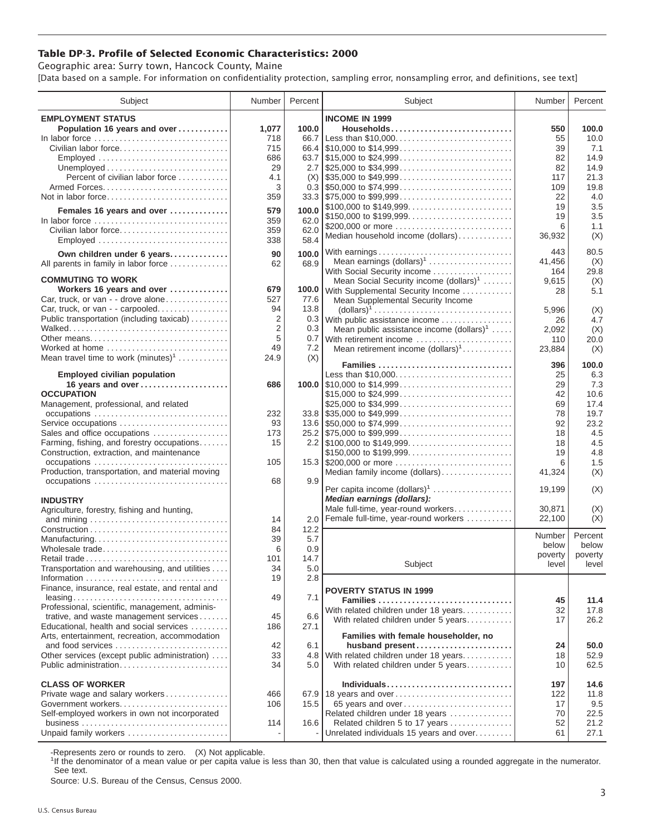## **Table DP-3. Profile of Selected Economic Characteristics: 2000**

Geographic area: Surry town, Hancock County, Maine [Data based on a sample. For information on confidentiality protection, sampling error, nonsampling error, and definitions, see text]

| Subject                                                                | Number     | Percent      | Subject                                                                                | Number  | Percent |
|------------------------------------------------------------------------|------------|--------------|----------------------------------------------------------------------------------------|---------|---------|
| <b>EMPLOYMENT STATUS</b>                                               |            |              | <b>INCOME IN 1999</b>                                                                  |         |         |
| Population 16 years and over                                           | 1,077      | 100.0        | Households                                                                             | 550     | 100.0   |
| In labor force                                                         | 718        | 66.7         | Less than \$10,000                                                                     | 55      | 10.0    |
| Civilian labor force                                                   | 715        |              |                                                                                        | 39      | 7.1     |
| Employed                                                               | 686        | 63.7         | $\frac{1}{2}$ \$15,000 to \$24,999                                                     | 82      | 14.9    |
|                                                                        | 29         | 2.7          | $\frac{1}{25,000}$ to \$34,999                                                         | 82      | 14.9    |
| Percent of civilian labor force                                        | 4.1        | (X)          | $\frac{1}{2}$ \$35,000 to \$49,999                                                     | 117     | 21.3    |
|                                                                        | 3          |              | $0.3$ \\$50,000 to \$74,999                                                            | 109     | 19.8    |
| Not in labor force                                                     | 359        |              | $33.3$ \\ \$75,000 to \$99,999                                                         | 22      | 4.0     |
|                                                                        |            | 100.0        | \$100,000 to \$149,999                                                                 | 19      | 3.5     |
| Females 16 years and over                                              | 579        |              | \$150,000 to \$199,999                                                                 | 19      | 3.5     |
| In labor force<br>Civilian labor force                                 | 359        | 62.0         | \$200,000 or more                                                                      | 6       | 1.1     |
|                                                                        | 359        | 62.0<br>58.4 | Median household income (dollars)                                                      | 36,932  | (X)     |
| Employed                                                               | 338        |              |                                                                                        |         |         |
| Own children under 6 years                                             | 90         | 100.0        | With earnings                                                                          | 443     | 80.5    |
| All parents in family in labor force                                   | 62         | 68.9         | Mean earnings $(dollars)1$                                                             | 41,456  | (X)     |
| <b>COMMUTING TO WORK</b>                                               |            |              | With Social Security income                                                            | 164     | 29.8    |
|                                                                        |            |              | Mean Social Security income (dollars) <sup>1</sup>                                     | 9,615   | (X)     |
| Workers 16 years and over                                              | 679<br>527 | 100.0        | With Supplemental Security Income                                                      | 28      | 5.1     |
| Car, truck, or van - - drove alone<br>Car, truck, or van - - carpooled | 94         | 77.6<br>13.8 | Mean Supplemental Security Income                                                      |         |         |
| Public transportation (including taxicab)                              | 2          |              | $\text{(dollars)}^1 \dots \dots \dots \dots \dots \dots \dots \dots \dots \dots \dots$ | 5,996   | (X)     |
|                                                                        | 2          | 0.3          | 0.3 With public assistance income                                                      | 26      | 4.7     |
| Other means                                                            | 5          | 0.7          | Mean public assistance income $(dollars)1 \ldots$ .                                    | 2.092   | (X)     |
| Worked at home                                                         | 49         | 7.2          | With retirement income                                                                 | 110     | 20.0    |
| Mean travel time to work $(minutes)^1$                                 | 24.9       | (X)          | Mean retirement income (dollars) <sup>1</sup>                                          | 23,884  | (X)     |
|                                                                        |            |              | Families                                                                               | 396     | 100.0   |
| <b>Employed civilian population</b>                                    |            |              | Less than \$10,000                                                                     | 25      | 6.3     |
| 16 years and over                                                      | 686        |              |                                                                                        | 29      | 7.3     |
| <b>OCCUPATION</b>                                                      |            |              | \$15,000 to \$24,999                                                                   | 42      | 10.6    |
| Management, professional, and related                                  |            |              | \$25,000 to \$34,999                                                                   | 69      | 17.4    |
|                                                                        | 232        |              | $33.8$ \\ \$35,000 to \$49,999                                                         | 78      | 19.7    |
| Service occupations                                                    | 93         |              |                                                                                        | 92      | 23.2    |
| Sales and office occupations                                           | 173        |              |                                                                                        | 18      | 4.5     |
| Farming, fishing, and forestry occupations                             | 15         |              |                                                                                        | 18      | 4.5     |
| Construction, extraction, and maintenance                              |            |              | \$150,000 to \$199,999                                                                 | 19      | 4.8     |
|                                                                        | 105        |              |                                                                                        | 6       | 1.5     |
| Production, transportation, and material moving                        |            |              | Median family income (dollars)                                                         | 41,324  | (X)     |
|                                                                        | 68         | 9.9          |                                                                                        |         |         |
|                                                                        |            |              | Per capita income (dollars) <sup>1</sup>                                               | 19,199  | (X)     |
| <b>INDUSTRY</b>                                                        |            |              | Median earnings (dollars):                                                             |         |         |
| Agriculture, forestry, fishing and hunting,                            |            |              | Male full-time, year-round workers                                                     | 30,871  | (X)     |
|                                                                        | 14         | 2.0          | Female full-time, year-round workers                                                   | 22,100  | (X)     |
|                                                                        | 84         | 12.2         |                                                                                        | Number  | Percent |
| Manufacturing                                                          | 39         | 5.7          |                                                                                        | below   | below   |
| Wholesale trade                                                        | 6          | 0.9          |                                                                                        | poverty | poverty |
| Retail trade                                                           | 101        | 14.7         | Subject                                                                                | level   | level   |
| Transportation and warehousing, and utilities                          | 34         | 5.0          |                                                                                        |         |         |
|                                                                        | 19         | 2.8          |                                                                                        |         |         |
| Finance, insurance, real estate, and rental and                        |            |              | <b>POVERTY STATUS IN 1999</b>                                                          |         |         |
| Professional, scientific, management, adminis-                         | 49         | 7.1          | Families                                                                               | 45      | 11.4    |
| trative, and waste management services                                 | 45         | 6.6          | With related children under 18 years                                                   | 32      | 17.8    |
| Educational, health and social services                                | 186        | 27.1         | With related children under 5 years                                                    | 17      | 26.2    |
| Arts, entertainment, recreation, accommodation                         |            |              | Families with female householder, no                                                   |         |         |
| and food services                                                      | 42         | 6.1          | husband present                                                                        | 24      | 50.0    |
| Other services (except public administration)                          | 33         |              | 4.8 With related children under 18 years                                               | 18      | 52.9    |
| Public administration                                                  | 34         | 5.0          | With related children under 5 years                                                    | 10      | 62.5    |
|                                                                        |            |              |                                                                                        |         |         |
| <b>CLASS OF WORKER</b>                                                 |            |              | Individuals                                                                            | 197     | 14.6    |
| Private wage and salary workers                                        | 466        |              | 67.9 18 years and over                                                                 | 122     | 11.8    |
| Government workers                                                     | 106        | 15.5         | 65 years and over                                                                      | 17      | 9.5     |
| Self-employed workers in own not incorporated                          |            |              | Related children under 18 years                                                        | 70      | 22.5    |
|                                                                        | 114        | 16.6         | Related children 5 to 17 years                                                         | 52      | 21.2    |
| Unpaid family workers                                                  |            |              | Unrelated individuals 15 years and over                                                | 61      | 27.1    |

-Represents zero or rounds to zero. (X) Not applicable.

<sup>1</sup>If the denominator of a mean value or per capita value is less than 30, then that value is calculated using a rounded aggregate in the numerator. See text.

Source: U.S. Bureau of the Census, Census 2000.